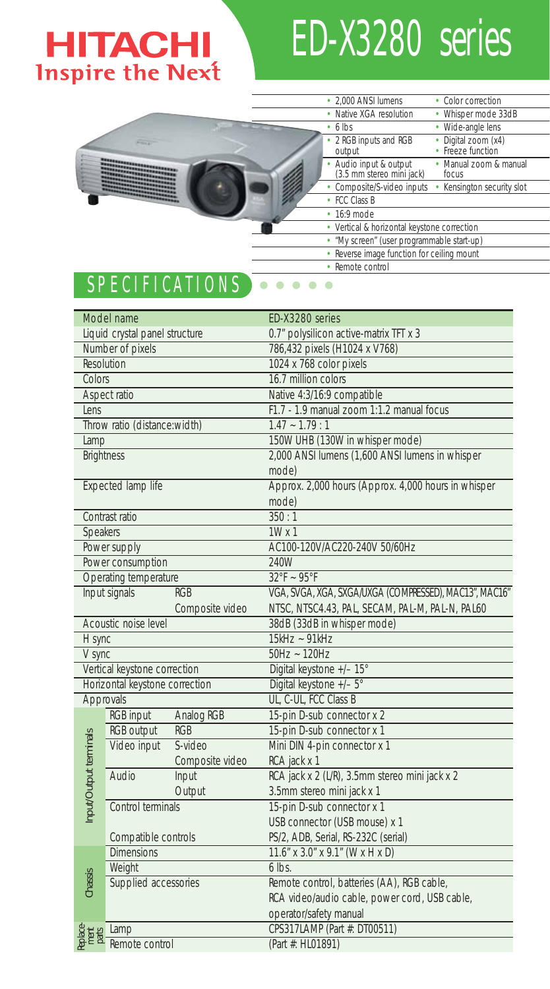# **HITACHI**<br>Inspire the Next

## ED-X3280 series

|                                                                                                                                                                                                                                                                                                                                                                                                 | • 2.000 ANSI lumens<br>• Color correction                                              |
|-------------------------------------------------------------------------------------------------------------------------------------------------------------------------------------------------------------------------------------------------------------------------------------------------------------------------------------------------------------------------------------------------|----------------------------------------------------------------------------------------|
|                                                                                                                                                                                                                                                                                                                                                                                                 | • Native XGA resolution<br>• Whisper mode 33dB                                         |
|                                                                                                                                                                                                                                                                                                                                                                                                 | • Wide-angle lens<br>$\cdot$ 6 lbs                                                     |
|                                                                                                                                                                                                                                                                                                                                                                                                 | 2 RGB inputs and RGB<br>· Digital zoom (x4)<br>· Freeze function<br>output             |
| <b>MASSAGE AND ARRESTS AND INCOME.</b><br><b>CONTRACTOR</b><br>en an an an an an an an an an an an<br><b><i><u>STORES CONTRACTORS IN THE OWNER.</u></i></b>                                                                                                                                                                                                                                     | • Manual zoom & manual<br>• Audio input & output<br>(3.5 mm stereo mini jack)<br>focus |
| <b><i><u>STARTED BARBARASHALLER IN BEING STARTED BARBARASHALLER IN BEING STARTED BARBARASHALLER IN BEING STARTED BARBARASHALLER</u></i></b><br><b><i><u>Providence of the Second Service of the Service of the Service of the Service of the Service of the Service of the Service of the Service of the Service of the Service of the Service of the Service of the Service of the</u></i></b> | • Composite/S-video inputs<br>• Kensington security slot                               |
|                                                                                                                                                                                                                                                                                                                                                                                                 | • FCC Class B                                                                          |
|                                                                                                                                                                                                                                                                                                                                                                                                 | $\cdot$ 16:9 mode                                                                      |
|                                                                                                                                                                                                                                                                                                                                                                                                 | • Vertical & horizontal keystone correction                                            |
|                                                                                                                                                                                                                                                                                                                                                                                                 | • 'My screen' (user programmable start-up)                                             |
|                                                                                                                                                                                                                                                                                                                                                                                                 | • Reverse image function for ceiling mount                                             |
|                                                                                                                                                                                                                                                                                                                                                                                                 | • Remote control                                                                       |

### SPECIFICATIONS **CONSTRUCTE**

| Model name                     |                                |                 | ED-X3280 series                                        |  |  |
|--------------------------------|--------------------------------|-----------------|--------------------------------------------------------|--|--|
|                                | Liquid crystal panel structure |                 | 0.7" polysilicon active-matrix TFT x 3                 |  |  |
| Number of pixels               |                                |                 | 786,432 pixels (H1024 x V768)                          |  |  |
|                                | Resolution                     |                 | 1024 x 768 color pixels                                |  |  |
| Colors                         |                                |                 | 16.7 million colors                                    |  |  |
|                                | Aspect ratio                   |                 | Native 4:3/16:9 compatible                             |  |  |
| Lens                           |                                |                 | F1.7 - 1.9 manual zoom 1:1.2 manual focus              |  |  |
| Throw ratio (distance:width)   |                                |                 | $1.47 - 1.79 : 1$                                      |  |  |
| Lamp                           |                                |                 | 150W UHB (130W in whisper mode)                        |  |  |
|                                | <b>Brightness</b>              |                 | 2,000 ANSI lumens (1,600 ANSI lumens in whisper        |  |  |
|                                |                                |                 | mode)                                                  |  |  |
| Expected lamp life             |                                |                 | Approx. 2,000 hours (Approx. 4,000 hours in whisper    |  |  |
|                                |                                |                 | mode)                                                  |  |  |
| Contrast ratio                 |                                |                 | 350:1                                                  |  |  |
| Speakers                       |                                |                 | $1W \times 1$                                          |  |  |
| Power supply                   |                                |                 | AC100-120V/AC220-240V 50/60Hz                          |  |  |
|                                | Power consumption              |                 | 240W                                                   |  |  |
| Operating temperature          |                                |                 | $32^{\circ}F - 95^{\circ}F$                            |  |  |
|                                | Input signals                  | <b>RGB</b>      | VGA, SVGA, XGA, SXGA/UXGA (COMPRESSED), MAC13", MAC16" |  |  |
|                                |                                | Composite video | NTSC, NTSC4.43, PAL, SECAM, PAL-M, PAL-N, PAL60        |  |  |
|                                | Acoustic noise level           |                 | 38dB (33dB in whisper mode)                            |  |  |
| H sync                         |                                |                 | $15kHz - 91kHz$                                        |  |  |
| V sync                         |                                |                 | $50Hz - 120Hz$                                         |  |  |
|                                | Vertical keystone correction   |                 | Digital keystone +/- 15°                               |  |  |
| Horizontal keystone correction |                                |                 | Digital keystone +/- 5°                                |  |  |
| Approvals                      |                                |                 | UL, C-UL, FCC Class B                                  |  |  |
|                                | <b>RGB</b> input               | Analog RGB      | 15-pin D-sub connector x 2                             |  |  |
|                                | <b>RGB</b> output              | <b>RGB</b>      | 15-pin D-sub connector x 1                             |  |  |
| Input/Output terminals         | Video input                    | S-video         | Mini DIN 4-pin connector x 1                           |  |  |
|                                |                                | Composite video | RCA jack x 1                                           |  |  |
|                                | Audio                          | Input           | RCA jack x 2 (L/R), 3.5mm stereo mini jack x 2         |  |  |
|                                |                                | Output          | 3.5mm stereo mini jack x 1                             |  |  |
|                                | Control terminals              |                 | 15-pin D-sub connector x 1                             |  |  |
|                                |                                |                 | USB connector (USB mouse) x 1                          |  |  |
|                                | Compatible controls            |                 | PS/2, ADB, Serial, RS-232C (serial)                    |  |  |
| Chassis                        | <b>Dimensions</b>              |                 | 11.6" x 3.0" x 9.1" (W x H x D)                        |  |  |
|                                | Weight                         |                 | $6$ lbs.                                               |  |  |
|                                | Supplied accessories           |                 | Remote control, batteries (AA), RGB cable,             |  |  |
|                                |                                |                 | RCA video/audio cable, power cord, USB cable,          |  |  |
|                                |                                |                 | operator/safety manual                                 |  |  |
| <b>BREA</b>                    | Lamp                           |                 | CPS317LAMP (Part #: DT00511)                           |  |  |
|                                | Remote control                 |                 | (Part #: HL01891)                                      |  |  |